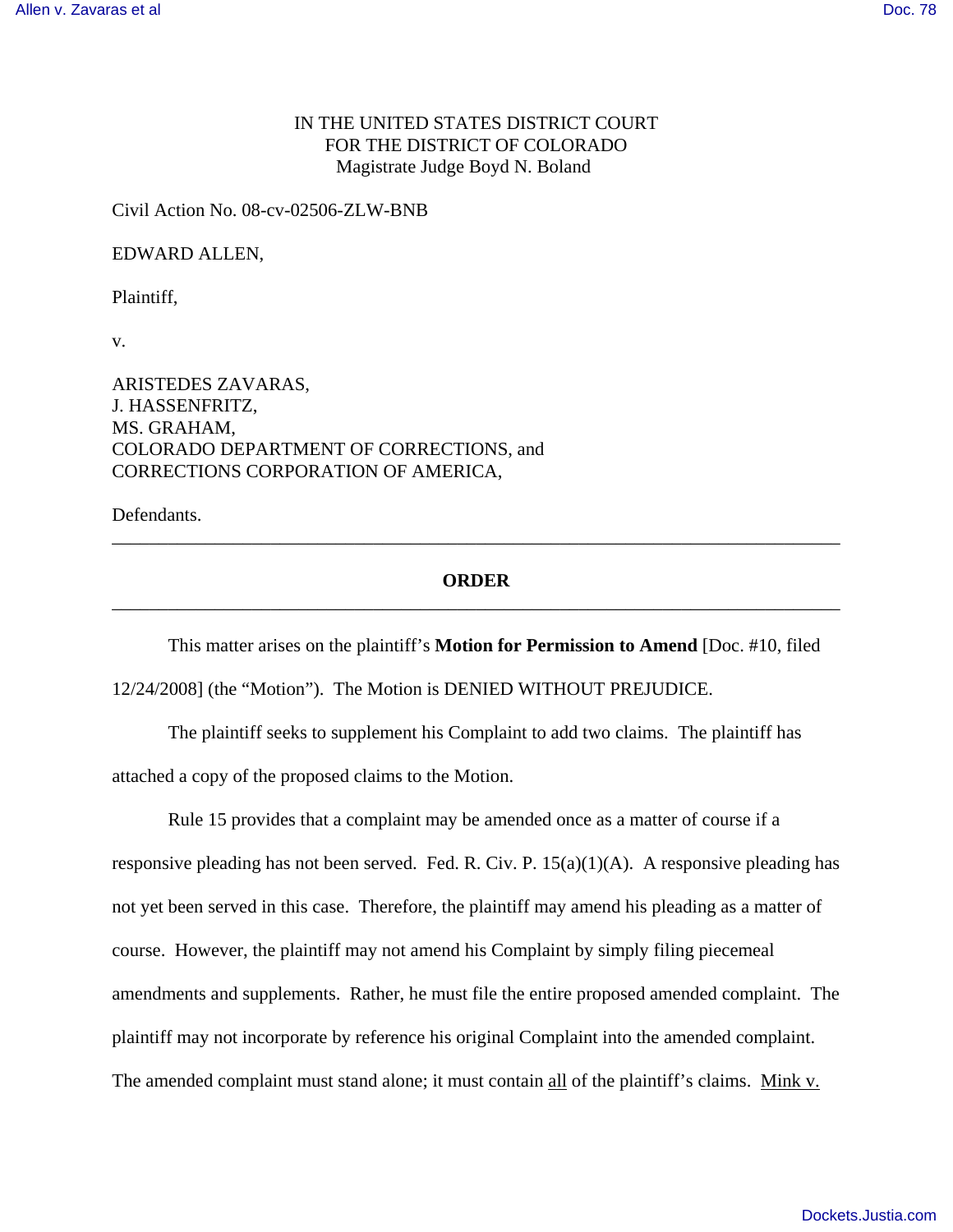## IN THE UNITED STATES DISTRICT COURT FOR THE DISTRICT OF COLORADO Magistrate Judge Boyd N. Boland

Civil Action No. 08-cv-02506-ZLW-BNB

EDWARD ALLEN,

Plaintiff,

v.

ARISTEDES ZAVARAS, J. HASSENFRITZ, MS. GRAHAM, COLORADO DEPARTMENT OF CORRECTIONS, and CORRECTIONS CORPORATION OF AMERICA,

Defendants.

## **ORDER** \_\_\_\_\_\_\_\_\_\_\_\_\_\_\_\_\_\_\_\_\_\_\_\_\_\_\_\_\_\_\_\_\_\_\_\_\_\_\_\_\_\_\_\_\_\_\_\_\_\_\_\_\_\_\_\_\_\_\_\_\_\_\_\_\_\_\_\_\_\_\_\_\_\_\_\_\_\_

\_\_\_\_\_\_\_\_\_\_\_\_\_\_\_\_\_\_\_\_\_\_\_\_\_\_\_\_\_\_\_\_\_\_\_\_\_\_\_\_\_\_\_\_\_\_\_\_\_\_\_\_\_\_\_\_\_\_\_\_\_\_\_\_\_\_\_\_\_\_\_\_\_\_\_\_\_\_

This matter arises on the plaintiff's **Motion for Permission to Amend** [Doc. #10, filed 12/24/2008] (the "Motion"). The Motion is DENIED WITHOUT PREJUDICE.

The plaintiff seeks to supplement his Complaint to add two claims. The plaintiff has attached a copy of the proposed claims to the Motion.

Rule 15 provides that a complaint may be amended once as a matter of course if a responsive pleading has not been served. Fed. R. Civ. P. 15(a)(1)(A). A responsive pleading has not yet been served in this case. Therefore, the plaintiff may amend his pleading as a matter of course. However, the plaintiff may not amend his Complaint by simply filing piecemeal amendments and supplements. Rather, he must file the entire proposed amended complaint. The plaintiff may not incorporate by reference his original Complaint into the amended complaint. The amended complaint must stand alone; it must contain all of the plaintiff's claims. Mink v.